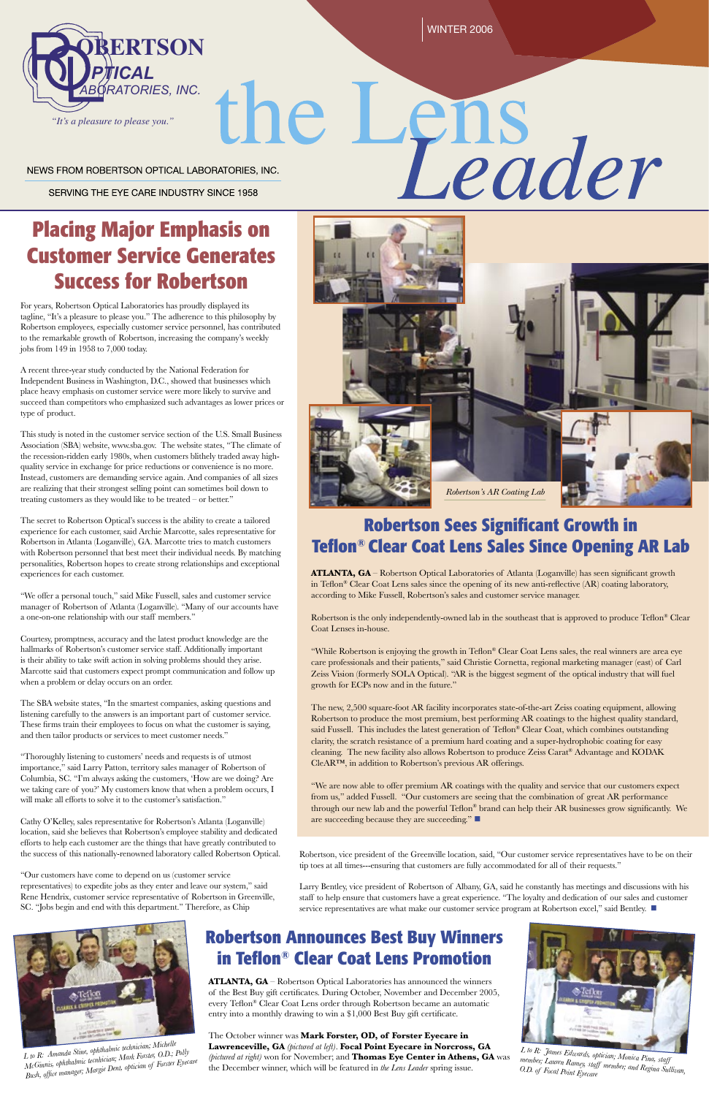**ATLANTA, GA** – Robertson Optical Laboratories of Atlanta (Loganville) has seen significant growth in Teflon® Clear Coat Lens sales since the opening of its new anti-reflective (AR) coating laboratory, according to Mike Fussell, Robertson's sales and customer service manager.

Robertson is the only independently-owned lab in the southeast that is approved to produce Teflon® Clear Coat Lenses in-house.

"While Robertson is enjoying the growth in Teflon® Clear Coat Lens sales, the real winners are area eye care professionals and their patients," said Christie Cornetta, regional marketing manager (east) of Carl Zeiss Vision (formerly SOLA Optical). "AR is the biggest segment of the optical industry that will fuel growth for ECPs now and in the future."

#### through our new lab and the powerful Teflon® brand can help their AR businesses grow significantly. We are succeeding because they are succeeding."

The new, 2,500 square-foot AR facility incorporates state-of-the-art Zeiss coating equipment, allowing Robertson to produce the most premium, best performing AR coatings to the highest quality standard, said Fussell. This includes the latest generation of Teflon® Clear Coat, which combines outstanding clarity, the scratch resistance of a premium hard coating and a super-hydrophobic coating for easy cleaning. The new facility also allows Robertson to produce Zeiss Carat® Advantage and KODAK CleAR™, in addition to Robertson's previous AR offerings.

"We are now able to offer premium AR coatings with the quality and service that our customers expect from us," added Fussell. "Our customers are seeing that the combination of great AR performance

WINTER 2006

NEWS FROM ROBERTSON OPTICAL LABORATORIES, INC.

SERVING THE EYE CARE INDUSTRY SINCE 1958

# **Placing Major Emphasis on Customer Service Generates Success for Robertson**

For years, Robertson Optical Laboratories has proudly displayed its tagline, "It's a pleasure to please you." The adherence to this philosophy by Robertson employees, especially customer service personnel, has contributed to the remarkable growth of Robertson, increasing the company's weekly jobs from 149 in 1958 to 7,000 today.

A recent three-year study conducted by the National Federation for Independent Business in Washington, D.C., showed that businesses which place heavy emphasis on customer service were more likely to survive and succeed than competitors who emphasized such advantages as lower prices or type of product.

This study is noted in the customer service section of the U.S. Small Business Association (SBA) website, www.sba.gov. The website states, "The climate of the recession-ridden early 1980s, when customers blithely traded away highquality service in exchange for price reductions or convenience is no more. Instead, customers are demanding service again. And companies of all sizes are realizing that their strongest selling point can sometimes boil down to treating customers as they would like to be treated – or better."

> Larry Bentley, vice president of Robertson of Albany, GA, said he constantly has meetings and discussions with his staff to help ensure that customers have a great experience. "The loyalty and dedication of our sales and customer service representatives are what make our customer service program at Robertson excel," said Bentley.  $\blacksquare$

The secret to Robertson Optical's success is the ability to create a tailored experience for each customer, said Archie Marcotte, sales representative for Robertson in Atlanta (Loganville), GA. Marcotte tries to match customers with Robertson personnel that best meet their individual needs. By matching personalities, Robertson hopes to create strong relationships and exceptional experiences for each customer.

"We offer a personal touch," said Mike Fussell, sales and customer service manager of Robertson of Atlanta (Loganville). "Many of our accounts have a one-on-one relationship with our staff members."

Courtesy, promptness, accuracy and the latest product knowledge are the hallmarks of Robertson's customer service staff. Additionally important is their ability to take swift action in solving problems should they arise. Marcotte said that customers expect prompt communication and follow up when a problem or delay occurs on an order.

The SBA website states, "In the smartest companies, asking questions and listening carefully to the answers is an important part of customer service. These firms train their employees to focus on what the customer is saying, and then tailor products or services to meet customer needs."

"Thoroughly listening to customers' needs and requests is of utmost importance," said Larry Patton, territory sales manager of Robertson of Columbia, SC. "I'm always asking the customers, 'How are we doing? Are we taking care of you?' My customers know that when a problem occurs, I will make all efforts to solve it to the customer's satisfaction."

Cathy O'Kelley, sales representative for Robertson's Atlanta (Loganville) location, said she believes that Robertson's employee stability and dedicated efforts to help each customer are the things that have greatly contributed to the success of this nationally-renowned laboratory called Robertson Optical.

"Our customers have come to depend on us (customer service representatives) to expedite jobs as they enter and leave our system," said Rene Hendrix, customer service representative of Robertson in Greenville, SC. "Jobs begin and end with this department." Therefore, as Chip



# le L ens<br>Leader

## **Robertson Sees Significant Growth in Teflon® Clear Coat Lens Sales Since Opening AR Lab**

#### **Robertson Announces Best Buy Winners in Teflon® Clear Coat Lens Promotion**

**ATLANTA, GA** – Robertson Optical Laboratories has announced the winners of the Best Buy gift certificates. During October, November and December 2005, every Teflon® Clear Coat Lens order through Robertson became an automatic entry into a monthly drawing to win a \$1,000 Best Buy gift certificate.

The October winner was **Mark Forster, OD, of Forster Eyecare in Lawrenceville, GA** *(pictured at left)*. **Focal Point Eyecare in Norcross, GA** *(pictured at right)* won for November; and **Thomas Eye Center in Athens, GA** was the December winner, which will be featured in *the Lens Leader* spring issue.





Robertson, vice president of the Greenville location, said, "Our customer service representatives have to be on their tip toes at all times---ensuring that customers are fully accommodated for all of their requests."



*L to R: James Edwards, optician; Monica Pina, staff member; Lauren Ramey, staff member; and Regina Sulli van, O.D. of Focal Point Eyecare*